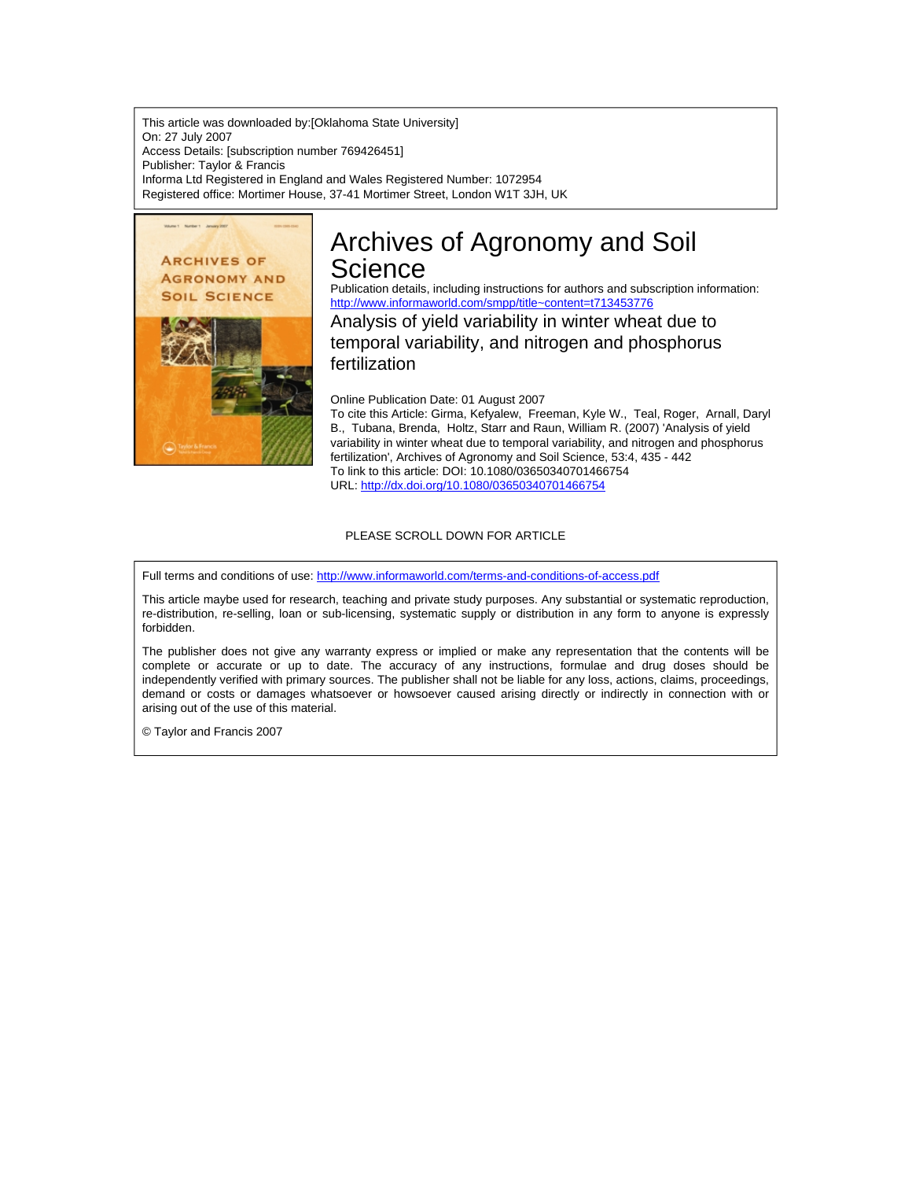This article was downloaded by:[Oklahoma State University] On: 27 July 2007 Access Details: [subscription number 769426451] Publisher: Taylor & Francis Informa Ltd Registered in England and Wales Registered Number: 1072954 Registered office: Mortimer House, 37-41 Mortimer Street, London W1T 3JH, UK



# Archives of Agronomy and Soil Science

Publication details, including instructions for authors and subscription information: <http://www.informaworld.com/smpp/title~content=t713453776>

Analysis of yield variability in winter wheat due to temporal variability, and nitrogen and phosphorus fertilization

Online Publication Date: 01 August 2007

To cite this Article: Girma, Kefyalew, Freeman, Kyle W., Teal, Roger, Arnall, Daryl B., Tubana, Brenda, Holtz, Starr and Raun, William R. (2007) 'Analysis of yield variability in winter wheat due to temporal variability, and nitrogen and phosphorus fertilization', Archives of Agronomy and Soil Science, 53:4, 435 - 442 To link to this article: DOI: 10.1080/03650340701466754 URL: <http://dx.doi.org/10.1080/03650340701466754>

#### PLEASE SCROLL DOWN FOR ARTICLE

Full terms and conditions of use: <http://www.informaworld.com/terms-and-conditions-of-access.pdf>

This article maybe used for research, teaching and private study purposes. Any substantial or systematic reproduction, re-distribution, re-selling, loan or sub-licensing, systematic supply or distribution in any form to anyone is expressly forbidden.

The publisher does not give any warranty express or implied or make any representation that the contents will be complete or accurate or up to date. The accuracy of any instructions, formulae and drug doses should be independently verified with primary sources. The publisher shall not be liable for any loss, actions, claims, proceedings, demand or costs or damages whatsoever or howsoever caused arising directly or indirectly in connection with or arising out of the use of this material.

© Taylor and Francis 2007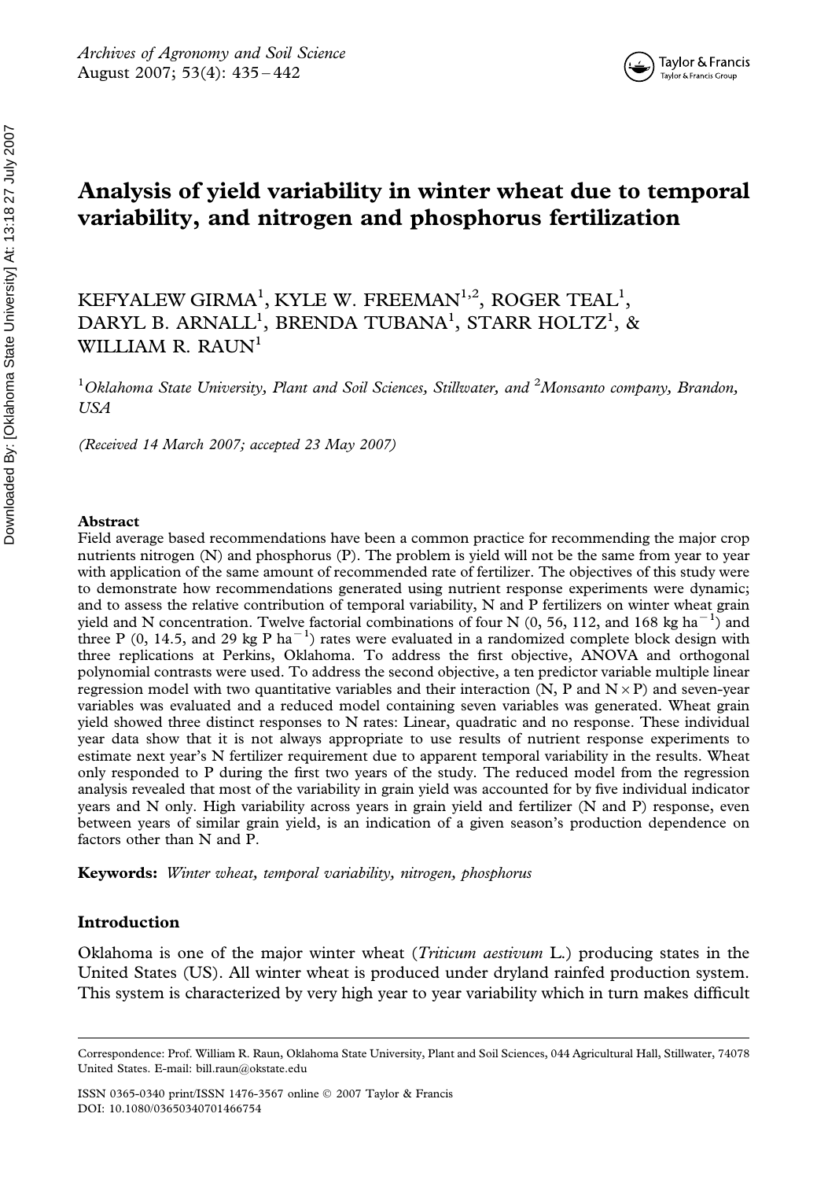## Analysis of yield variability in winter wheat due to temporal variability, and nitrogen and phosphorus fertilization

KEFYALEW GIRMA<sup>1</sup>, KYLE W. FREEMAN<sup>1,2</sup>, ROGER TEAL<sup>1</sup>, DARYL B. ARNALL<sup>1</sup>, BRENDA TUBANA<sup>1</sup>, STARR HOLTZ<sup>1</sup>, & WILLIAM R. RAUN<sup>1</sup>

<sup>1</sup>Oklahoma State University, Plant and Soil Sciences, Stillwater, and <sup>2</sup>Monsanto company, Brandon, USA

(Received 14 March 2007; accepted 23 May 2007)

#### Abstract

Field average based recommendations have been a common practice for recommending the major crop nutrients nitrogen (N) and phosphorus (P). The problem is yield will not be the same from year to year with application of the same amount of recommended rate of fertilizer. The objectives of this study were to demonstrate how recommendations generated using nutrient response experiments were dynamic; and to assess the relative contribution of temporal variability, N and P fertilizers on winter wheat grain yield and N concentration. Twelve factorial combinations of four N (0, 56, 112, and 168 kg ha<sup>-1</sup>) and three P (0, 14.5, and 29 kg P ha<sup>-1</sup>) rates were evaluated in a randomized complete block design with three replications at Perkins, Oklahoma. To address the first objective, ANOVA and orthogonal polynomial contrasts were used. To address the second objective, a ten predictor variable multiple linear regression model with two quantitative variables and their interaction (N, P and  $N \times P$ ) and seven-year variables was evaluated and a reduced model containing seven variables was generated. Wheat grain yield showed three distinct responses to N rates: Linear, quadratic and no response. These individual year data show that it is not always appropriate to use results of nutrient response experiments to estimate next year's N fertilizer requirement due to apparent temporal variability in the results. Wheat only responded to P during the first two years of the study. The reduced model from the regression analysis revealed that most of the variability in grain yield was accounted for by five individual indicator years and N only. High variability across years in grain yield and fertilizer (N and P) response, even between years of similar grain yield, is an indication of a given season's production dependence on factors other than N and P.

Keywords: Winter wheat, temporal variability, nitrogen, phosphorus

#### Introduction

Oklahoma is one of the major winter wheat (*Triticum aestivum* L.) producing states in the United States (US). All winter wheat is produced under dryland rainfed production system. This system is characterized by very high year to year variability which in turn makes difficult

Correspondence: Prof. William R. Raun, Oklahoma State University, Plant and Soil Sciences, 044 Agricultural Hall, Stillwater, 74078 United States. E-mail: bill.raun@okstate.edu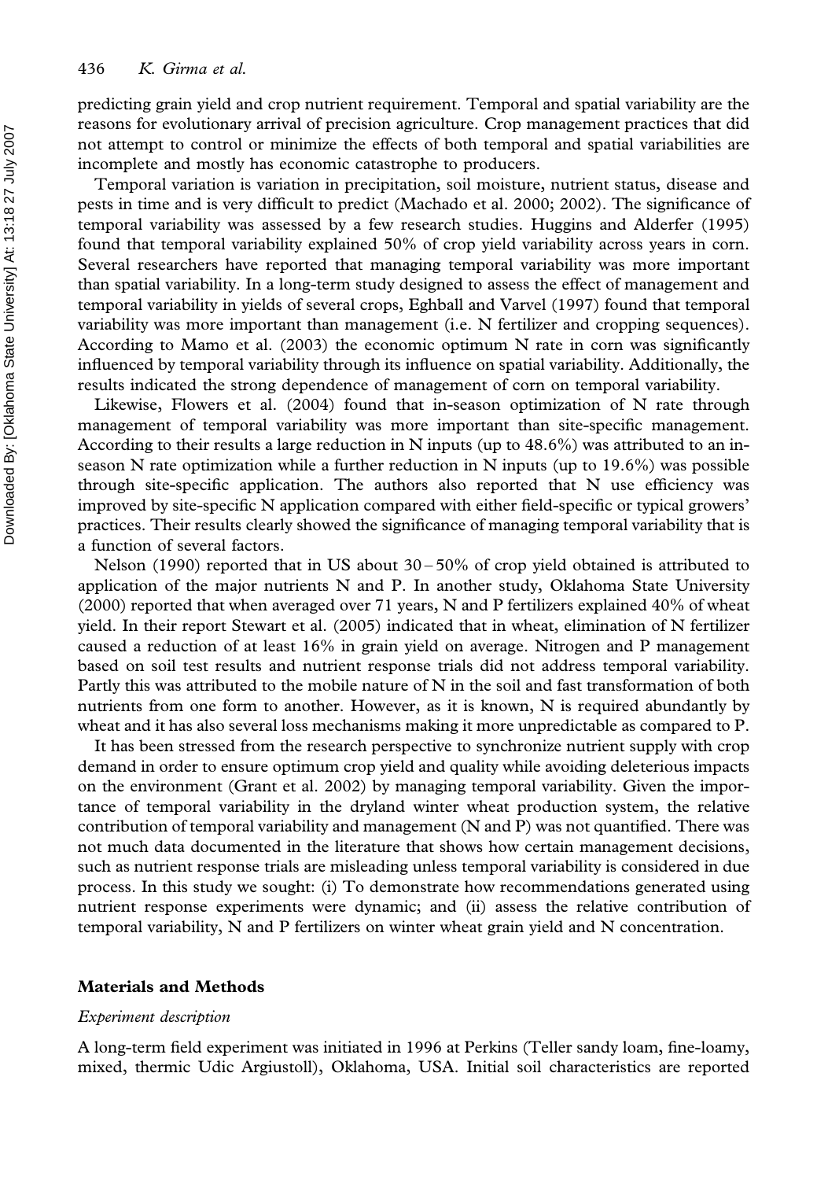predicting grain yield and crop nutrient requirement. Temporal and spatial variability are the reasons for evolutionary arrival of precision agriculture. Crop management practices that did not attempt to control or minimize the effects of both temporal and spatial variabilities are incomplete and mostly has economic catastrophe to producers.

Temporal variation is variation in precipitation, soil moisture, nutrient status, disease and pests in time and is very difficult to predict (Machado et al. 2000; 2002). The significance of temporal variability was assessed by a few research studies. Huggins and Alderfer (1995) found that temporal variability explained 50% of crop yield variability across years in corn. Several researchers have reported that managing temporal variability was more important than spatial variability. In a long-term study designed to assess the effect of management and temporal variability in yields of several crops, Eghball and Varvel (1997) found that temporal variability was more important than management (i.e. N fertilizer and cropping sequences). According to Mamo et al. (2003) the economic optimum N rate in corn was significantly influenced by temporal variability through its influence on spatial variability. Additionally, the results indicated the strong dependence of management of corn on temporal variability.

Likewise, Flowers et al. (2004) found that in-season optimization of N rate through management of temporal variability was more important than site-specific management. According to their results a large reduction in N inputs (up to  $48.6\%$ ) was attributed to an inseason N rate optimization while a further reduction in N inputs (up to 19.6%) was possible through site-specific application. The authors also reported that  $N$  use efficiency was improved by site-specific N application compared with either field-specific or typical growers' practices. Their results clearly showed the significance of managing temporal variability that is a function of several factors.

Nelson (1990) reported that in US about  $30-50\%$  of crop yield obtained is attributed to application of the major nutrients N and P. In another study, Oklahoma State University (2000) reported that when averaged over 71 years, N and P fertilizers explained 40% of wheat yield. In their report Stewart et al. (2005) indicated that in wheat, elimination of N fertilizer caused a reduction of at least 16% in grain yield on average. Nitrogen and P management based on soil test results and nutrient response trials did not address temporal variability. Partly this was attributed to the mobile nature of N in the soil and fast transformation of both nutrients from one form to another. However, as it is known,  $N$  is required abundantly by wheat and it has also several loss mechanisms making it more unpredictable as compared to P.

It has been stressed from the research perspective to synchronize nutrient supply with crop demand in order to ensure optimum crop yield and quality while avoiding deleterious impacts on the environment (Grant et al. 2002) by managing temporal variability. Given the importance of temporal variability in the dryland winter wheat production system, the relative contribution of temporal variability and management (N and P) was not quantified. There was not much data documented in the literature that shows how certain management decisions, such as nutrient response trials are misleading unless temporal variability is considered in due process. In this study we sought: (i) To demonstrate how recommendations generated using nutrient response experiments were dynamic; and (ii) assess the relative contribution of temporal variability, N and P fertilizers on winter wheat grain yield and N concentration.

#### Materials and Methods

#### Experiment description

A long-term field experiment was initiated in 1996 at Perkins (Teller sandy loam, fine-loamy, mixed, thermic Udic Argiustoll), Oklahoma, USA. Initial soil characteristics are reported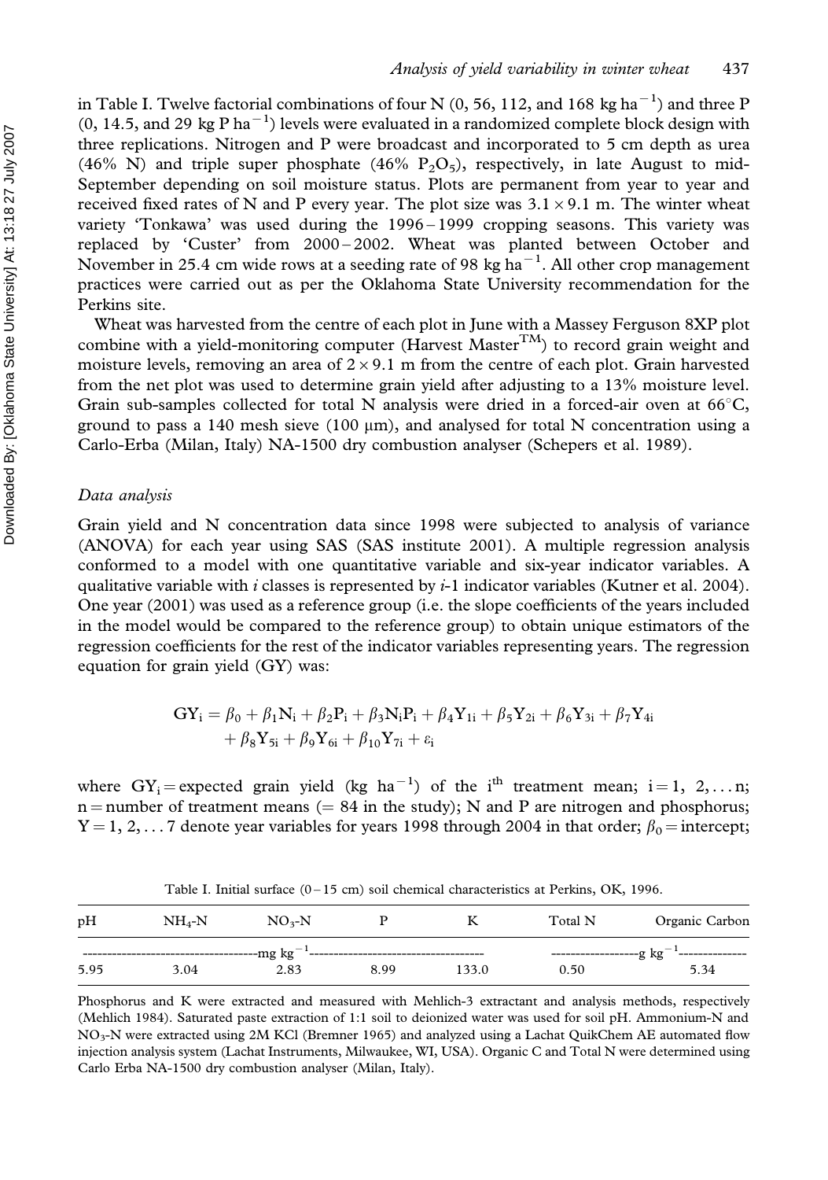in Table I. Twelve factorial combinations of four N (0, 56, 112, and 168 kg ha $^{-1}$ ) and three P  $(0, 14.5,$  and 29 kg P ha<sup>-1</sup>) levels were evaluated in a randomized complete block design with three replications. Nitrogen and P were broadcast and incorporated to 5 cm depth as urea (46% N) and triple super phosphate (46%  $P_2O_5$ ), respectively, in late August to mid-September depending on soil moisture status. Plots are permanent from year to year and received fixed rates of N and P every year. The plot size was  $3.1 \times 9.1$  m. The winter wheat variety 'Tonkawa' was used during the 1996 – 1999 cropping seasons. This variety was replaced by 'Custer' from 2000 – 2002. Wheat was planted between October and November in 25.4 cm wide rows at a seeding rate of 98 kg  $ha^{-1}$ . All other crop management practices were carried out as per the Oklahoma State University recommendation for the Perkins site.

Wheat was harvested from the centre of each plot in June with a Massey Ferguson 8XP plot combine with a yield-monitoring computer (Harvest Master  $M$ ) to record grain weight and moisture levels, removing an area of  $2\times9.1$  m from the centre of each plot. Grain harvested from the net plot was used to determine grain yield after adjusting to a 13% moisture level. Grain sub-samples collected for total N analysis were dried in a forced-air oven at  $66^{\circ}$ C, ground to pass a 140 mesh sieve  $(100 \mu m)$ , and analysed for total N concentration using a Carlo-Erba (Milan, Italy) NA-1500 dry combustion analyser (Schepers et al. 1989).

#### Data analysis

Grain yield and N concentration data since 1998 were subjected to analysis of variance (ANOVA) for each year using SAS (SAS institute 2001). A multiple regression analysis conformed to a model with one quantitative variable and six-year indicator variables. A qualitative variable with *i* classes is represented by  $i-1$  indicator variables (Kutner et al. 2004). One year (2001) was used as a reference group (i.e. the slope coefficients of the years included in the model would be compared to the reference group) to obtain unique estimators of the regression coefficients for the rest of the indicator variables representing years. The regression equation for grain yield (GY) was:

$$
GY_i = \beta_0 + \beta_1 N_i + \beta_2 P_i + \beta_3 N_i P_i + \beta_4 Y_{1i} + \beta_5 Y_{2i} + \beta_6 Y_{3i} + \beta_7 Y_{4i} + \beta_8 Y_{5i} + \beta_9 Y_{6i} + \beta_{10} Y_{7i} + \varepsilon_i
$$

where  $GY_i$  = expected grain yield (kg ha<sup>-1</sup>) of the i<sup>th</sup> treatment mean; i = 1, 2, ... n;  $n =$  number of treatment means (= 84 in the study); N and P are nitrogen and phosphorus;  $Y = 1, 2, \ldots$  7 denote year variables for years 1998 through 2004 in that order;  $\beta_0 =$  intercept;

Table I. Initial surface  $(0 - 15$  cm) soil chemical characteristics at Perkins, OK, 1996.

| pH   | $NH4-N$ | $NO3-N$ |      |       | Total N | Organic Carbon |
|------|---------|---------|------|-------|---------|----------------|
|      |         |         |      |       |         |                |
| 5.95 | 3.04    | 2.83    | 8.99 | 133.0 | 0.50    | 5.34           |

Phosphorus and K were extracted and measured with Mehlich-3 extractant and analysis methods, respectively (Mehlich 1984). Saturated paste extraction of 1:1 soil to deionized water was used for soil pH. Ammonium-N and NO3-N were extracted using 2M KCl (Bremner 1965) and analyzed using a Lachat QuikChem AE automated flow injection analysis system (Lachat Instruments, Milwaukee, WI, USA). Organic C and Total N were determined using Carlo Erba NA-1500 dry combustion analyser (Milan, Italy).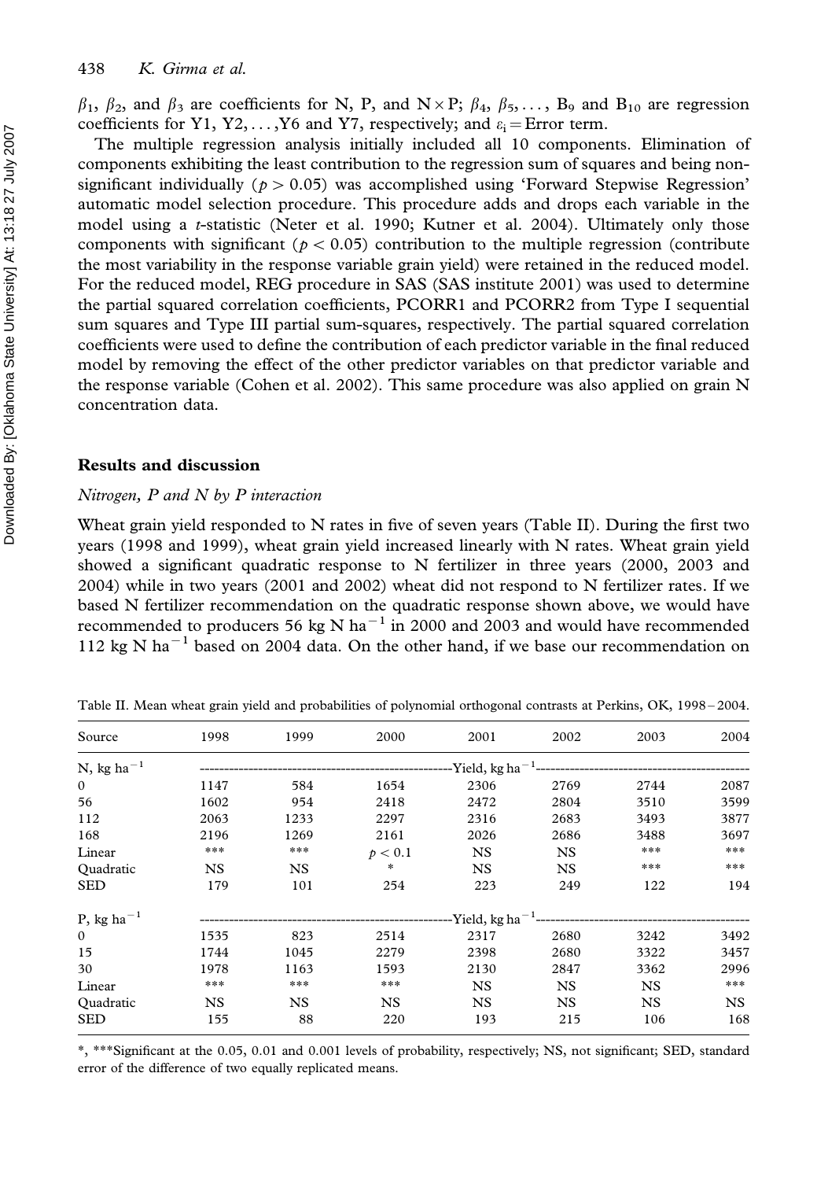$\beta_1$ ,  $\beta_2$ , and  $\beta_3$  are coefficients for N, P, and N × P;  $\beta_4$ ,  $\beta_5$ ,..., B<sub>9</sub> and B<sub>10</sub> are regression coefficients for Y1, Y2, ..., Y6 and Y7, respectively; and  $\varepsilon_i =$  Error term.

The multiple regression analysis initially included all 10 components. Elimination of components exhibiting the least contribution to the regression sum of squares and being nonsignificant individually ( $p > 0.05$ ) was accomplished using 'Forward Stepwise Regression' automatic model selection procedure. This procedure adds and drops each variable in the model using a t-statistic (Neter et al. 1990; Kutner et al. 2004). Ultimately only those components with significant ( $p < 0.05$ ) contribution to the multiple regression (contribute the most variability in the response variable grain yield) were retained in the reduced model. For the reduced model, REG procedure in SAS (SAS institute 2001) was used to determine the partial squared correlation coefficients, PCORR1 and PCORR2 from Type I sequential sum squares and Type III partial sum-squares, respectively. The partial squared correlation coefficients were used to define the contribution of each predictor variable in the final reduced model by removing the effect of the other predictor variables on that predictor variable and the response variable (Cohen et al. 2002). This same procedure was also applied on grain N concentration data.

#### Results and discussion

#### Nitrogen,  $P$  and  $N$  by  $P$  interaction

Wheat grain yield responded to N rates in five of seven years (Table II). During the first two years (1998 and 1999), wheat grain yield increased linearly with N rates. Wheat grain yield showed a significant quadratic response to N fertilizer in three years (2000, 2003 and 2004) while in two years (2001 and 2002) wheat did not respond to N fertilizer rates. If we based N fertilizer recommendation on the quadratic response shown above, we would have recommended to producers 56 kg N ha<sup> $-1$ </sup> in 2000 and 2003 and would have recommended 112 kg N ha<sup> $-1$ </sup> based on 2004 data. On the other hand, if we base our recommendation on

| Source                    | 1998  | 1999 | 2000      | 2001      | 2002      | 2003      | 2004      |  |  |
|---------------------------|-------|------|-----------|-----------|-----------|-----------|-----------|--|--|
| $N$ , kg ha $^{-1}$       |       |      |           |           |           |           |           |  |  |
| $\mathbf{0}$              | 1147  | 584  | 1654      | 2306      | 2769      | 2744      | 2087      |  |  |
| 56                        | 1602  | 954  | 2418      | 2472      | 2804      | 3510      | 3599      |  |  |
| 112                       | 2063  | 1233 | 2297      | 2316      | 2683      | 3493      | 3877      |  |  |
| 168                       | 2196  | 1269 | 2161      | 2026      | 2686      | 3488      | 3697      |  |  |
| Linear                    | $***$ | ***  | p < 0.1   | <b>NS</b> | <b>NS</b> | ***       | ***       |  |  |
| Ouadratic                 | NS.   | NS.  | *         | <b>NS</b> | <b>NS</b> | ***       | ***       |  |  |
| <b>SED</b>                | 179   | 101  | 254       | 223       | 249       | 122       | 194       |  |  |
| $P$ , kg ha <sup>-1</sup> |       |      |           |           |           |           |           |  |  |
| $\mathbf{0}$              | 1535  | 823  | 2514      | 2317      | 2680      | 3242      | 3492      |  |  |
| 15                        | 1744  | 1045 | 2279      | 2398      | 2680      | 3322      | 3457      |  |  |
| 30                        | 1978  | 1163 | 1593      | 2130      | 2847      | 3362      | 2996      |  |  |
| Linear                    | ***   | ***  | ***       | <b>NS</b> | <b>NS</b> | <b>NS</b> | $***$     |  |  |
| Quadratic                 | NS.   | NS   | <b>NS</b> | NS.       | <b>NS</b> | <b>NS</b> | <b>NS</b> |  |  |
| <b>SED</b>                | 155   | 88   | 220       | 193       | 215       | 106       | 168       |  |  |

Table II. Mean wheat grain yield and probabilities of polynomial orthogonal contrasts at Perkins, OK, 1998 – 2004.

\*, \*\*\*Significant at the 0.05, 0.01 and 0.001 levels of probability, respectively; NS, not significant; SED, standard error of the difference of two equally replicated means.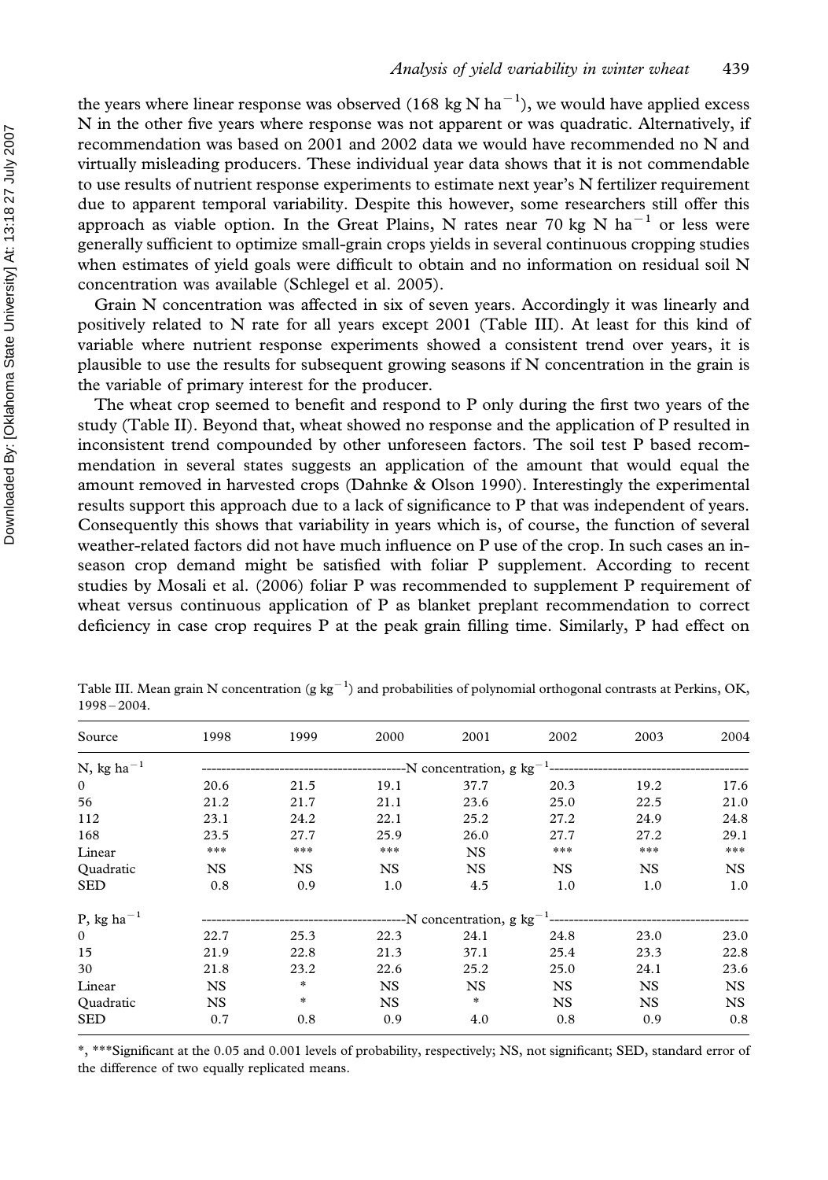the years where linear response was observed (168 kg N ha<sup>-1</sup>), we would have applied excess N in the other five years where response was not apparent or was quadratic. Alternatively, if recommendation was based on 2001 and 2002 data we would have recommended no N and virtually misleading producers. These individual year data shows that it is not commendable to use results of nutrient response experiments to estimate next year's N fertilizer requirement due to apparent temporal variability. Despite this however, some researchers still offer this approach as viable option. In the Great Plains, N rates near 70 kg N ha<sup>-1</sup> or less were generally sufficient to optimize small-grain crops yields in several continuous cropping studies when estimates of yield goals were difficult to obtain and no information on residual soil N concentration was available (Schlegel et al. 2005).

Grain N concentration was affected in six of seven years. Accordingly it was linearly and positively related to N rate for all years except 2001 (Table III). At least for this kind of variable where nutrient response experiments showed a consistent trend over years, it is plausible to use the results for subsequent growing seasons if N concentration in the grain is the variable of primary interest for the producer.

The wheat crop seemed to benefit and respond to P only during the first two years of the study (Table II). Beyond that, wheat showed no response and the application of P resulted in inconsistent trend compounded by other unforeseen factors. The soil test P based recommendation in several states suggests an application of the amount that would equal the amount removed in harvested crops (Dahnke & Olson 1990). Interestingly the experimental results support this approach due to a lack of significance to P that was independent of years. Consequently this shows that variability in years which is, of course, the function of several weather-related factors did not have much influence on P use of the crop. In such cases an inseason crop demand might be satisfied with foliar P supplement. According to recent studies by Mosali et al. (2006) foliar P was recommended to supplement P requirement of wheat versus continuous application of P as blanket preplant recommendation to correct deficiency in case crop requires P at the peak grain filling time. Similarly, P had effect on

| Source           | 1998      | 1999      | 2000  | 2001      | 2002      | 2003      | 2004      |  |  |
|------------------|-----------|-----------|-------|-----------|-----------|-----------|-----------|--|--|
| N, kg ha $^{-1}$ |           |           |       |           |           |           |           |  |  |
| $\mathbf{0}$     | 20.6      | 21.5      | 19.1  | 37.7      | 20.3      | 19.2      | 17.6      |  |  |
| 56               | 21.2      | 21.7      | 21.1  | 23.6      | 25.0      | 22.5      | 21.0      |  |  |
| 112              | 23.1      | 24.2      | 22.1  | 25.2      | 27.2      | 24.9      | 24.8      |  |  |
| 168              | 23.5      | 27.7      | 25.9  | 26.0      | 27.7      | 27.2      | 29.1      |  |  |
| Linear           | ***       | ***       | $***$ | NS.       | ***       | ***       | ***       |  |  |
| Quadratic        | NS.       | <b>NS</b> | NS.   | <b>NS</b> | <b>NS</b> | <b>NS</b> | <b>NS</b> |  |  |
| <b>SED</b>       | 0.8       | 0.9       | 1.0   | 4.5       | 1.0       | 1.0       | 1.0       |  |  |
| P, kg ha $^{-1}$ |           |           |       |           |           |           |           |  |  |
| $\mathbf{0}$     | 22.7      | 25.3      | 22.3  | 24.1      | 24.8      | 23.0      | 23.0      |  |  |
| 15               | 21.9      | 22.8      | 21.3  | 37.1      | 25.4      | 23.3      | 22.8      |  |  |
| 30               | 21.8      | 23.2      | 22.6  | 25.2      | 25.0      | 24.1      | 23.6      |  |  |
| Linear           | <b>NS</b> | $\ast$    | NS.   | NS.       | <b>NS</b> | <b>NS</b> | NS.       |  |  |
| Quadratic        | NS.       | $\ast$    | NS.   | $\ast$    | <b>NS</b> | NS.       | <b>NS</b> |  |  |
| <b>SED</b>       | 0.7       | 0.8       | 0.9   | 4.0       | 0.8       | 0.9       | 0.8       |  |  |

Table III. Mean grain N concentration (g kg $^{-1}$ ) and probabilities of polynomial orthogonal contrasts at Perkins, OK, 1998 – 2004.

\*, \*\*\*Significant at the 0.05 and 0.001 levels of probability, respectively; NS, not significant; SED, standard error of the difference of two equally replicated means.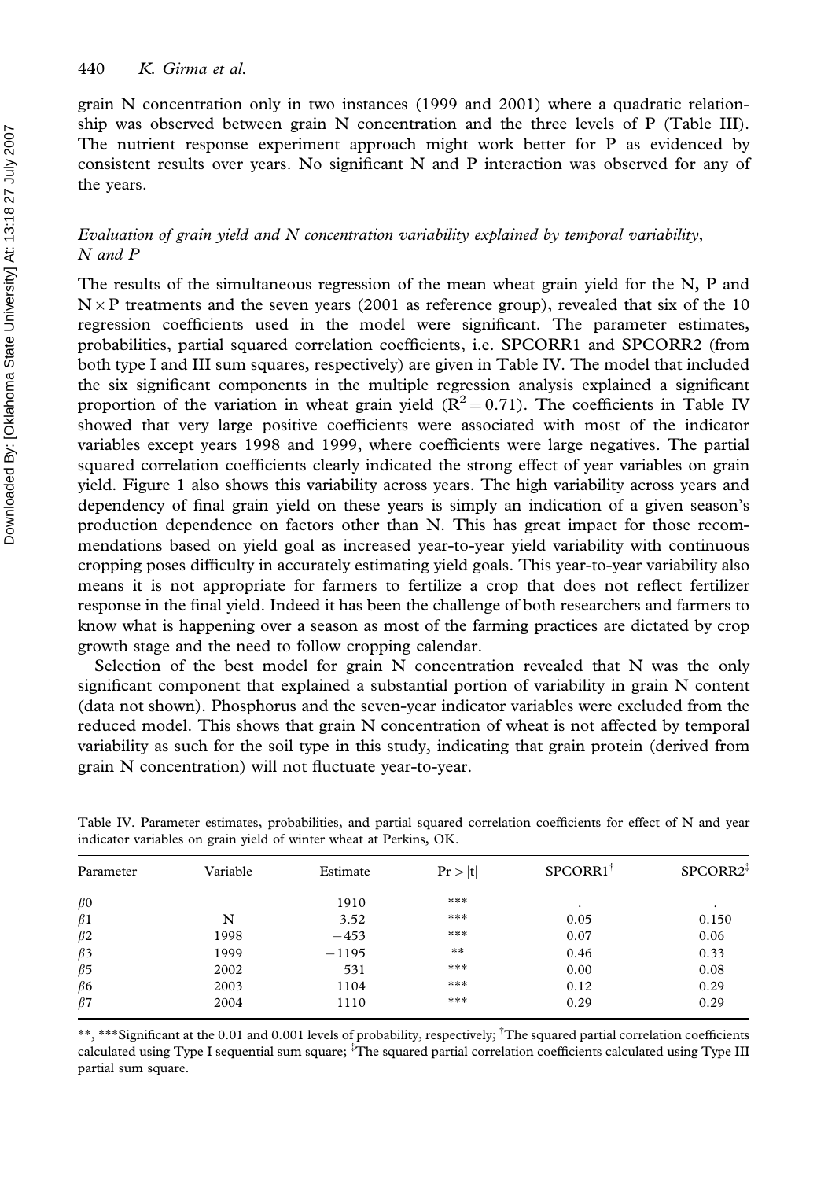grain N concentration only in two instances (1999 and 2001) where a quadratic relationship was observed between grain N concentration and the three levels of P (Table III). The nutrient response experiment approach might work better for P as evidenced by consistent results over years. No significant N and P interaction was observed for any of the years.

### Evaluation of grain yield and N concentration variability explained by temporal variability, N and P

The results of the simultaneous regression of the mean wheat grain yield for the N, P and  $N \times P$  treatments and the seven years (2001 as reference group), revealed that six of the 10 regression coefficients used in the model were significant. The parameter estimates, probabilities, partial squared correlation coefficients, i.e. SPCORR1 and SPCORR2 (from both type I and III sum squares, respectively) are given in Table IV. The model that included the six significant components in the multiple regression analysis explained a significant proportion of the variation in wheat grain yield  $(R^2 = 0.71)$ . The coefficients in Table IV showed that very large positive coefficients were associated with most of the indicator variables except years 1998 and 1999, where coefficients were large negatives. The partial squared correlation coefficients clearly indicated the strong effect of year variables on grain yield. Figure 1 also shows this variability across years. The high variability across years and dependency of final grain yield on these years is simply an indication of a given season's production dependence on factors other than N. This has great impact for those recommendations based on yield goal as increased year-to-year yield variability with continuous cropping poses difficulty in accurately estimating yield goals. This year-to-year variability also means it is not appropriate for farmers to fertilize a crop that does not reflect fertilizer response in the final yield. Indeed it has been the challenge of both researchers and farmers to know what is happening over a season as most of the farming practices are dictated by crop growth stage and the need to follow cropping calendar.

Selection of the best model for grain N concentration revealed that N was the only significant component that explained a substantial portion of variability in grain N content (data not shown). Phosphorus and the seven-year indicator variables were excluded from the reduced model. This shows that grain N concentration of wheat is not affected by temporal variability as such for the soil type in this study, indicating that grain protein (derived from grain N concentration) will not fluctuate year-to-year.

| Parameter | Variable | Estimate | Pr >  t | SPCORR1 <sup>†</sup> | SPCORR2 <sup>‡</sup> |
|-----------|----------|----------|---------|----------------------|----------------------|
| $\beta$ 0 |          | 1910     | ***     | $\cdot$              |                      |
| $\beta$ 1 | N        | 3.52     | ***     | 0.05                 | 0.150                |
| $\beta$ 2 | 1998     | $-453$   | ***     | 0.07                 | 0.06                 |
| $\beta$ 3 | 1999     | $-1195$  | **      | 0.46                 | 0.33                 |
| $\beta$ 5 | 2002     | 531      | ***     | 0.00                 | 0.08                 |
| $\beta$ 6 | 2003     | 1104     | ***     | 0.12                 | 0.29                 |
| $\beta$ 7 | 2004     | 1110     | ***     | 0.29                 | 0.29                 |

Table IV. Parameter estimates, probabilities, and partial squared correlation coefficients for effect of N and year indicator variables on grain yield of winter wheat at Perkins, OK.

\*\*, \*\*\*Significant at the 0.01 and 0.001 levels of probability, respectively; <sup>†</sup>The squared partial correlation coefficients calculated using Type I sequential sum square;  $^{\ddagger}$ The squared partial correlation coefficients calculated using Type III partial sum square.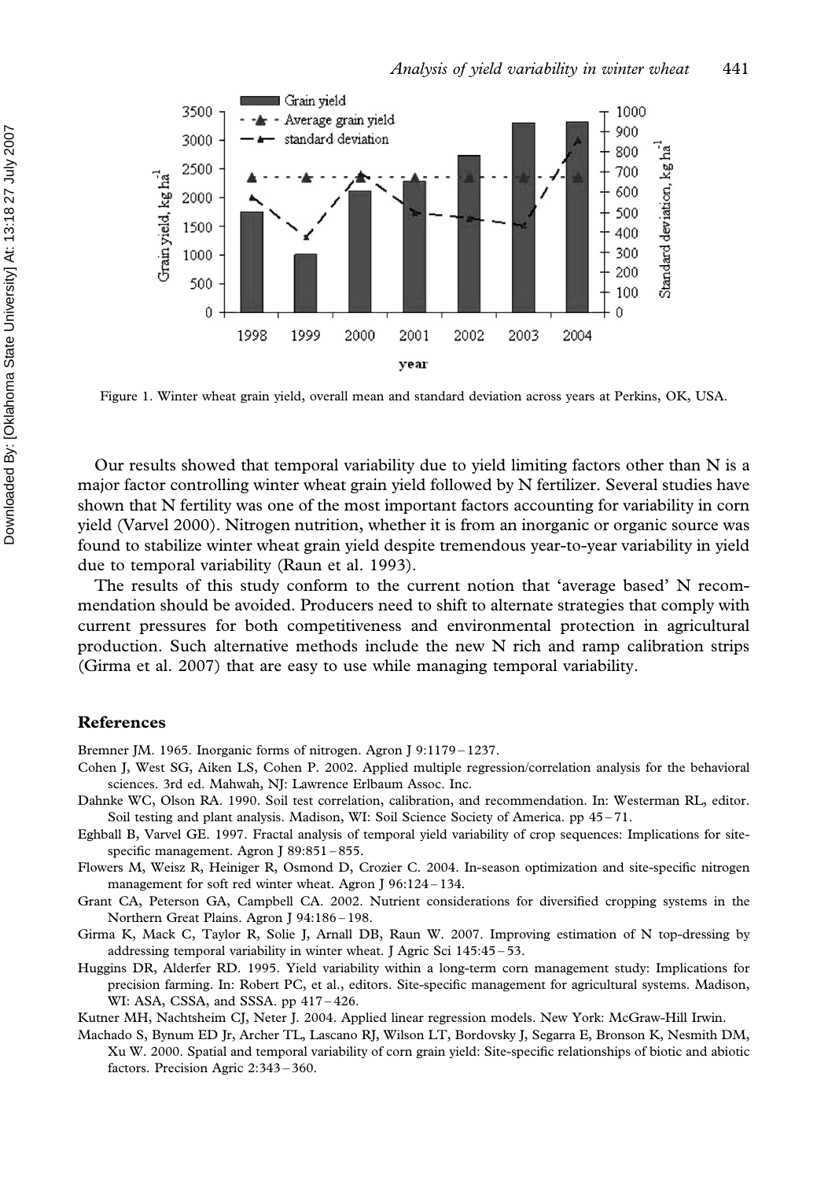

Figure 1. Winter wheat grain yield, overall mean and standard deviation across years at Perkins, OK, USA.

Our results showed that temporal variability due to yield limiting factors other than N is a major factor controlling winter wheat grain yield followed by N fertilizer. Several studies have shown that N fertility was one of the most important factors accounting for variability in corn yield (Varvel 2000). Nitrogen nutrition, whether it is from an inorganic or organic source was found to stabilize winter wheat grain yield despite tremendous year-to-year variability in yield due to temporal variability (Raun et al. 1993).

The results of this study conform to the current notion that 'average based' N recommendation should be avoided. Producers need to shift to alternate strategies that comply with current pressures for both competitiveness and environmental protection in agricultural production. Such alternative methods include the new N rich and ramp calibration strips (Girma et al. 2007) that are easy to use while managing temporal variability.

#### References

Bremner JM. 1965. Inorganic forms of nitrogen. Agron J 9:1179 – 1237.

- Cohen J, West SG, Aiken LS, Cohen P. 2002. Applied multiple regression/correlation analysis for the behavioral sciences. 3rd ed. Mahwah, NJ: Lawrence Erlbaum Assoc. Inc.
- Dahnke WC, Olson RA. 1990. Soil test correlation, calibration, and recommendation. In: Westerman RL, editor. Soil testing and plant analysis. Madison, WI: Soil Science Society of America. pp 45 – 71.
- Eghball B, Varvel GE. 1997. Fractal analysis of temporal yield variability of crop sequences: Implications for sitespecific management. Agron J 89:851 – 855.
- Flowers M, Weisz R, Heiniger R, Osmond D, Crozier C. 2004. In-season optimization and site-specific nitrogen management for soft red winter wheat. Agron J 96:124 – 134.
- Grant CA, Peterson GA, Campbell CA. 2002. Nutrient considerations for diversified cropping systems in the Northern Great Plains. Agron J 94:186 – 198.
- Girma K, Mack C, Taylor R, Solie J, Arnall DB, Raun W. 2007. Improving estimation of N top-dressing by addressing temporal variability in winter wheat. J Agric Sci 145:45 – 53.
- Huggins DR, Alderfer RD. 1995. Yield variability within a long-term corn management study: Implications for precision farming. In: Robert PC, et al., editors. Site-specific management for agricultural systems. Madison, WI: ASA, CSSA, and SSSA. pp 417 – 426.

Kutner MH, Nachtsheim CJ, Neter J. 2004. Applied linear regression models. New York: McGraw-Hill Irwin.

Machado S, Bynum ED Jr, Archer TL, Lascano RJ, Wilson LT, Bordovsky J, Segarra E, Bronson K, Nesmith DM, Xu W. 2000. Spatial and temporal variability of corn grain yield: Site-specific relationships of biotic and abiotic factors. Precision Agric 2:343 – 360.